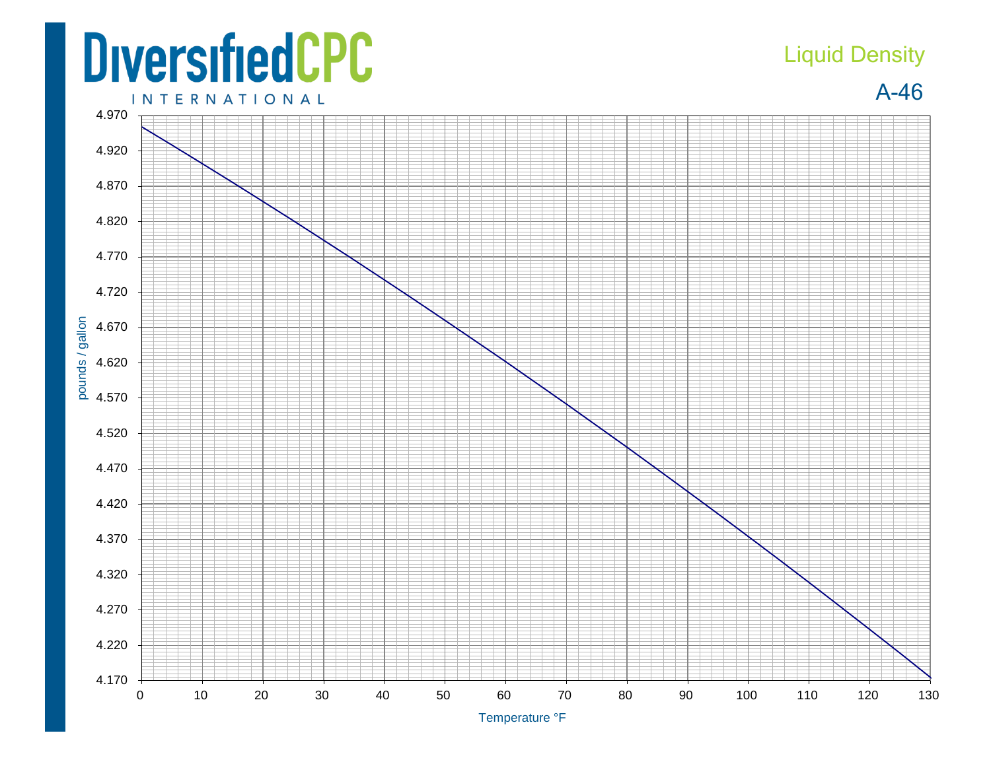## **DiversifiedCPC INTERNATIONAL**

## Liquid Density

A-46